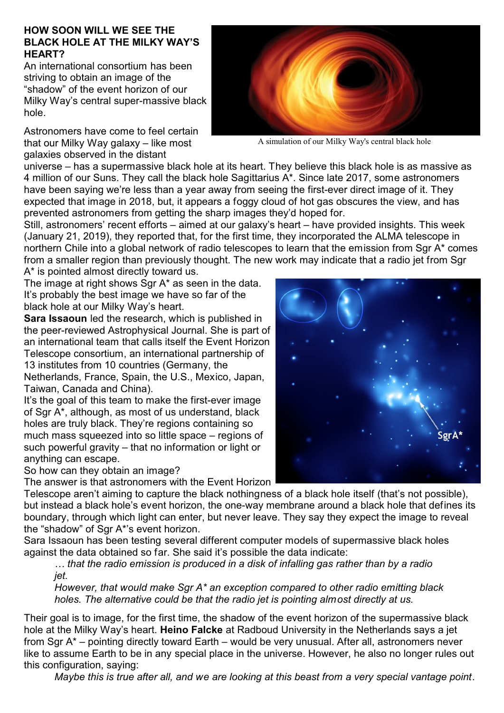## **HOW SOON WILL WE SEE THE BLACK HOLE AT THE MILKY WAY'S HEART?**

An international consortium has been striving to obtain an image of the "shadow" of the event horizon of our Milky Way's central super-massive black hole.

Astronomers have come to feel certain that our Milky Way galaxy – like most galaxies observed in the distant



A simulation of our Milky Way's central black hole

universe – has a supermassive black hole at its heart. They believe this black hole is as massive as 4 million of our Suns. They call the black hole Sagittarius A\*. Since late 2017, some astronomers have been saying we're less than a year away from seeing the first-ever direct image of it. They expected that image in 2018, but, it appears a foggy cloud of hot gas obscures the view, and has prevented astronomers from getting the sharp images they'd hoped for.

Still, astronomers' recent efforts – aimed at our galaxy's heart – have provided insights. This week (January 21, 2019), they reported that, for the first time, they incorporated the ALMA telescope in northern Chile into a global network of radio telescopes to learn that the emission from Sgr A\* comes from a smaller region than previously thought. The new work may indicate that a radio jet from Sgr A\* is pointed almost directly toward us.

The image at right shows Sgr A\* as seen in the data. It's probably the best image we have so far of the black hole at our Milky Way's heart.

**Sara Issaoun** led the research, which is published in the peer-reviewed Astrophysical Journal. She is part of an international team that calls itself the Event Horizon Telescope consortium, an international partnership of 13 institutes from 10 countries (Germany, the

Netherlands, France, Spain, the U.S., Mexico, Japan, Taiwan, Canada and China).

It's the goal of this team to make the first-ever image of Sgr A\*, although, as most of us understand, black holes are truly black. They're regions containing so much mass squeezed into so little space – regions of such powerful gravity – that no information or light or anything can escape.

So how can they obtain an image?

The answer is that astronomers with the Event Horizon

Telescope aren't aiming to capture the black nothingness of a black hole itself (that's not possible), but instead a black hole's event horizon, the one-way membrane around a black hole that defines its boundary, through which light can enter, but never leave. They say they expect the image to reveal the "shadow" of Sgr A\*'s event horizon.

Sara Issaoun has been testing several different computer models of supermassive black holes against the data obtained so far. She said it's possible the data indicate:

*… that the radio emission is produced in a disk of infalling gas rather than by a radio jet.*

*However, that would make Sgr A\* an exception compared to other radio emitting black holes. The alternative could be that the radio jet is pointing almost directly at us.*

Their goal is to image, for the first time, the shadow of the event horizon of the supermassive black hole at the Milky Way's heart. **Heino Falcke** at Radboud University in the Netherlands says a jet from Sgr A\* – pointing directly toward Earth – would be very unusual. After all, astronomers never like to assume Earth to be in any special place in the universe. However, he also no longer rules out this configuration, saying:

*Maybe this is true after all, and we are looking at this beast from a very special vantage point*.